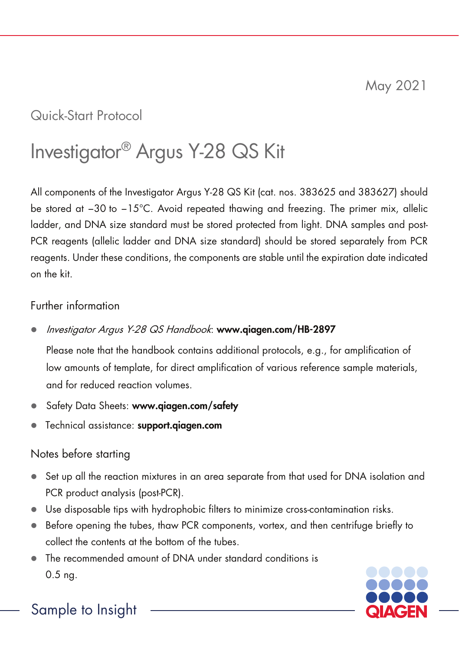# Quick-Start Protocol

# Investigator® Argus Y-28 QS Kit

All components of the Investigator Argus Y-28 QS Kit (cat. nos. 383625 and 383627) should be stored at −30 to −15°C. Avoid repeated thawing and freezing. The primer mix, allelic ladder, and DNA size standard must be stored protected from light. DNA samples and post-PCR reagents (allelic ladder and DNA size standard) should be stored separately from PCR reagents. Under these conditions, the components are stable until the expiration date indicated on the kit.

# Further information

Investigator Argus Y-28 QS Handbook: www.qiagen.com/HB-2897

Please note that the handbook contains additional protocols, e.g., for amplification of low amounts of template, for direct amplification of various reference sample materials, and for reduced reaction volumes.

- Safety Data Sheets: www.giagen.com/safety
- **•** Technical assistance: support.qiagen.com

# Notes before starting

- $\bullet$  Set up all the reaction mixtures in an area separate from that used for DNA isolation and PCR product analysis (post-PCR).
- Use disposable tips with hydrophobic filters to minimize cross-contamination risks.
- $\bullet$  Before opening the tubes, thaw PCR components, vortex, and then centrifuge briefly to collect the contents at the bottom of the tubes.
- The recommended amount of DNA under standard conditions is 0.5 ng.



# Sample to Insight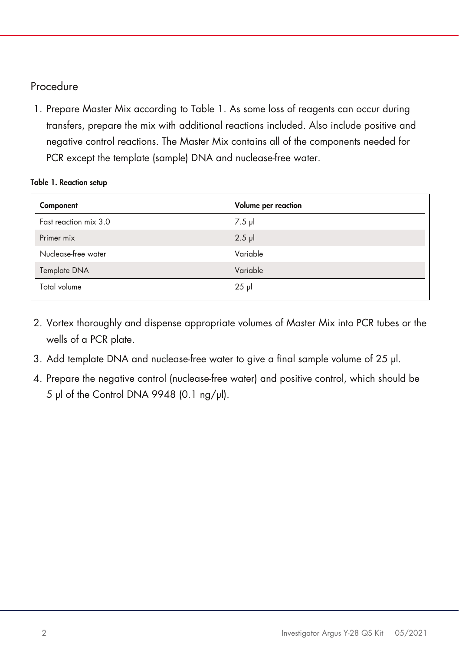# Procedure

1. Prepare Master Mix according to [Table 1.](#page-1-0) As some loss of reagents can occur during transfers, prepare the mix with additional reactions included. Also include positive and negative control reactions. The Master Mix contains all of the components needed for PCR except the template (sample) DNA and nuclease-free water.

#### <span id="page-1-0"></span>Table 1. Reaction setup

| Component             | Volume per reaction |
|-----------------------|---------------------|
| Fast reaction mix 3.0 | $7.5$ $\mu$         |
| Primer mix            | $2.5$ $\mu$         |
| Nuclease-free water   | Variable            |
| Template DNA          | Variable            |
| Total volume          | $25$ µ              |

- 2. Vortex thoroughly and dispense appropriate volumes of Master Mix into PCR tubes or the wells of a PCR plate.
- 3. Add template DNA and nuclease-free water to give a final sample volume of 25 µl.
- 4. Prepare the negative control (nuclease-free water) and positive control, which should be 5 µl of the Control DNA 9948 (0.1 ng/µl).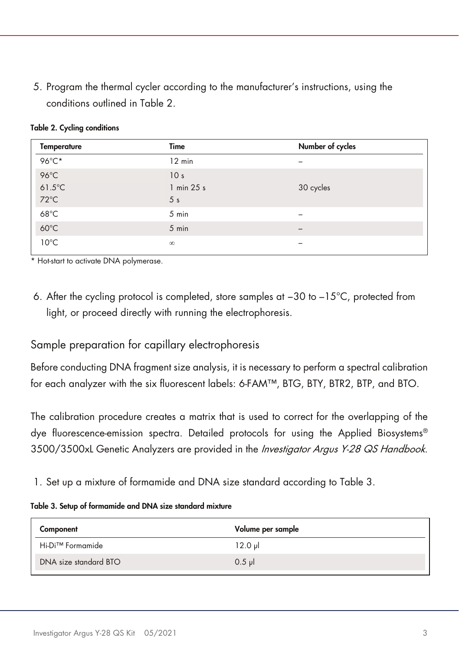5. Program the thermal cycler according to the manufacturer's instructions, using the conditions outlined in [Table 2.](#page-2-0)

<span id="page-2-0"></span>Table 2. Cycling conditions

\* Hot-start to activate DNA polymerase.

6. After the cycling protocol is completed, store samples at −30 to –15°C, protected from light, or proceed directly with running the electrophoresis.

# Sample preparation for capillary electrophoresis

Before conducting DNA fragment size analysis, it is necessary to perform a spectral calibration for each analyzer with the six fluorescent labels: 6-FAM™, BTG, BTY, BTR2, BTP, and BTO.

The calibration procedure creates a matrix that is used to correct for the overlapping of the dye fluorescence-emission spectra. Detailed protocols for using the Applied Biosystems® 3500/3500xL Genetic Analyzers are provided in the Investigator Argus Y-28 QS Handbook.

<span id="page-2-1"></span>1. Set up a mixture of formamide and DNA size standard according to [Table 3.](#page-2-1)

### Table 3. Setup of formamide and DNA size standard mixture

| Component             | Volume per sample |
|-----------------------|-------------------|
| Hi-Di™ Formamide      | $12.0 \mu$        |
| DNA size standard BTO | $0.5$ pl          |